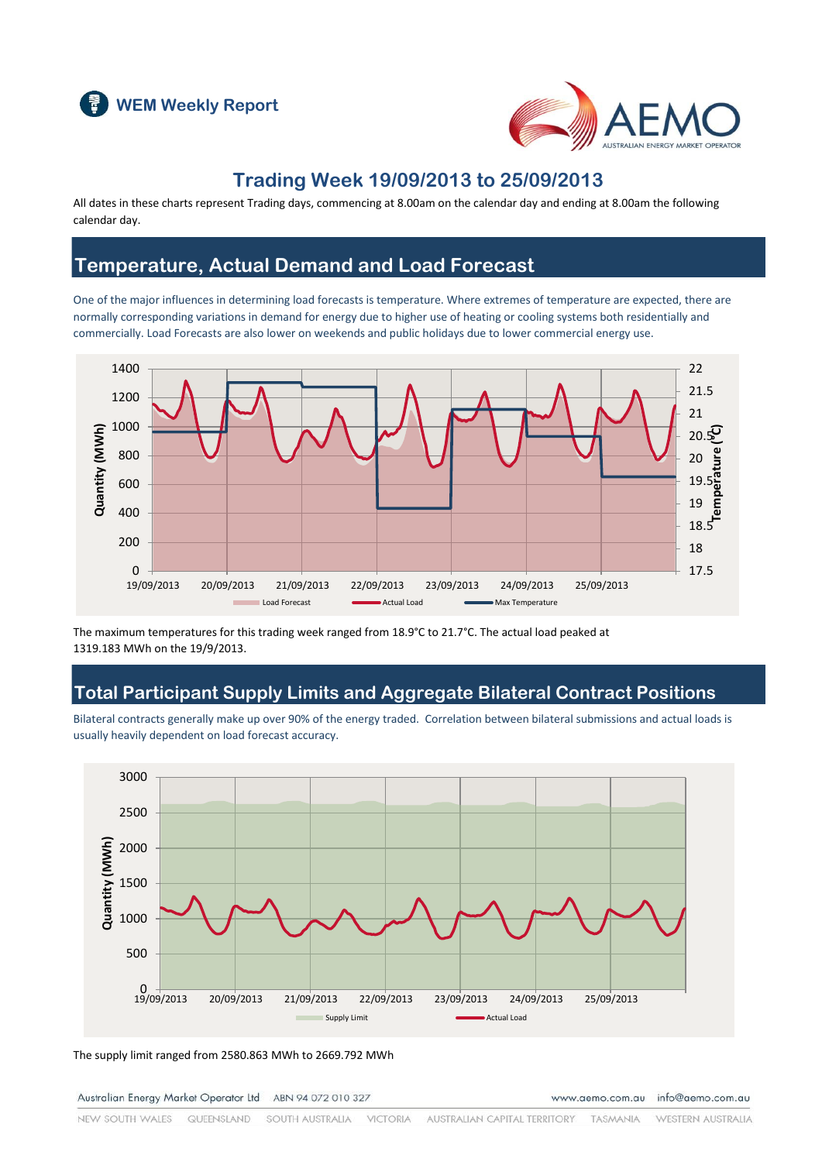



### **Trading Week 19/09/2013 to 25/09/2013**

All dates in these charts represent Trading days, commencing at 8.00am on the calendar day and ending at 8.00am the following calendar day.

### **Temperature, Actual Demand and Load Forecast**

One of the major influences in determining load forecasts is temperature. Where extremes of temperature are expected, there are normally corresponding variations in demand for energy due to higher use of heating or cooling systems both residentially and commercially. Load Forecasts are also lower on weekends and public holidays due to lower commercial energy use.



The maximum temperatures for this trading week ranged from 18.9°C to 21.7°C. The actual load peaked at 1319.183 MWh on the 19/9/2013.

### **Total Participant Supply Limits and Aggregate Bilateral Contract Positions**

Bilateral contracts generally make up over 90% of the energy traded. Correlation between bilateral submissions and actual loads is usually heavily dependent on load forecast accuracy.



The supply limit ranged from 2580.863 MWh to 2669.792 MWh

Australian Energy Market Operator Ltd ABN 94 072 010 327

www.aemo.com.au info@aemo.com.au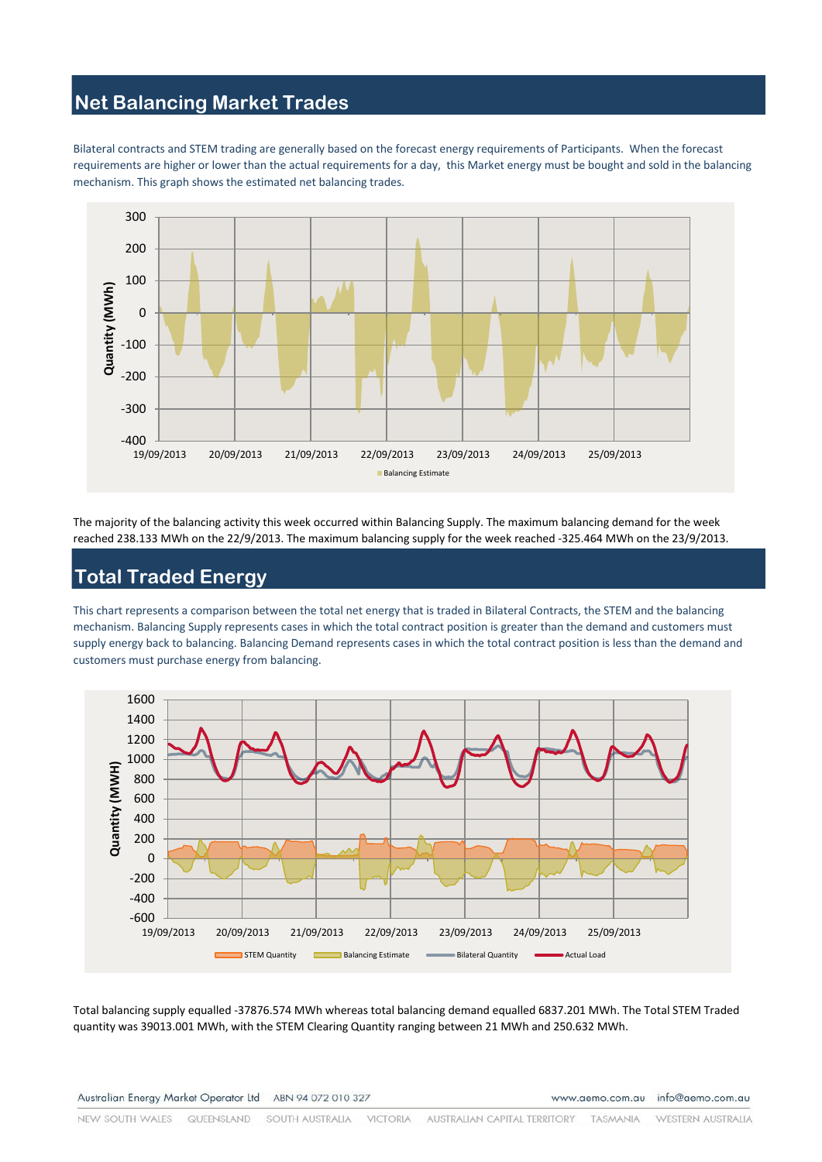# **Net Balancing Market Trades**

Bilateral contracts and STEM trading are generally based on the forecast energy requirements of Participants. When the forecast requirements are higher or lower than the actual requirements for a day, this Market energy must be bought and sold in the balancing mechanism. This graph shows the estimated net balancing trades.



The majority of the balancing activity this week occurred within Balancing Supply. The maximum balancing demand for the week reached 238.133 MWh on the 22/9/2013. The maximum balancing supply for the week reached -325.464 MWh on the 23/9/2013.

# **Total Traded Energy**

This chart represents a comparison between the total net energy that is traded in Bilateral Contracts, the STEM and the balancing mechanism. Balancing Supply represents cases in which the total contract position is greater than the demand and customers must supply energy back to balancing. Balancing Demand represents cases in which the total contract position is less than the demand and customers must purchase energy from balancing.



Total balancing supply equalled -37876.574 MWh whereas total balancing demand equalled 6837.201 MWh. The Total STEM Traded quantity was 39013.001 MWh, with the STEM Clearing Quantity ranging between 21 MWh and 250.632 MWh.